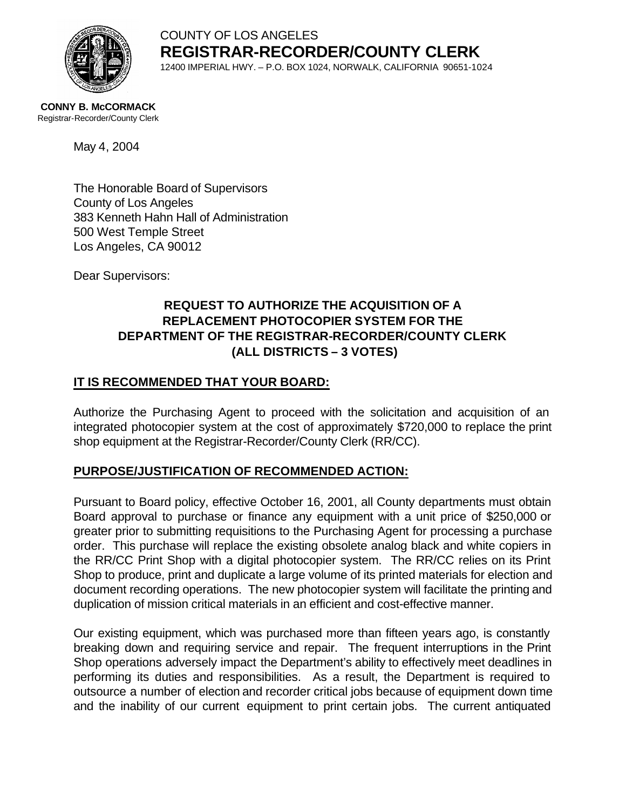

COUNTY OF LOS ANGELES **REGISTRAR-RECORDER/COUNTY CLERK** 12400 IMPERIAL HWY. – P.O. BOX 1024, NORWALK, CALIFORNIA 90651-1024

**CONNY B. McCORMACK** Registrar-Recorder/County Clerk

May 4, 2004

The Honorable Board of Supervisors County of Los Angeles 383 Kenneth Hahn Hall of Administration 500 West Temple Street Los Angeles, CA 90012

Dear Supervisors:

## **REQUEST TO AUTHORIZE THE ACQUISITION OF A REPLACEMENT PHOTOCOPIER SYSTEM FOR THE DEPARTMENT OF THE REGISTRAR-RECORDER/COUNTY CLERK (ALL DISTRICTS – 3 VOTES)**

## **IT IS RECOMMENDED THAT YOUR BOARD:**

Authorize the Purchasing Agent to proceed with the solicitation and acquisition of an integrated photocopier system at the cost of approximately \$720,000 to replace the print shop equipment at the Registrar-Recorder/County Clerk (RR/CC).

### **PURPOSE/JUSTIFICATION OF RECOMMENDED ACTION:**

Pursuant to Board policy, effective October 16, 2001, all County departments must obtain Board approval to purchase or finance any equipment with a unit price of \$250,000 or greater prior to submitting requisitions to the Purchasing Agent for processing a purchase order. This purchase will replace the existing obsolete analog black and white copiers in the RR/CC Print Shop with a digital photocopier system. The RR/CC relies on its Print Shop to produce, print and duplicate a large volume of its printed materials for election and document recording operations. The new photocopier system will facilitate the printing and duplication of mission critical materials in an efficient and cost-effective manner.

Our existing equipment, which was purchased more than fifteen years ago, is constantly breaking down and requiring service and repair. The frequent interruptions in the Print Shop operations adversely impact the Department's ability to effectively meet deadlines in performing its duties and responsibilities. As a result, the Department is required to outsource a number of election and recorder critical jobs because of equipment down time and the inability of our current equipment to print certain jobs. The current antiquated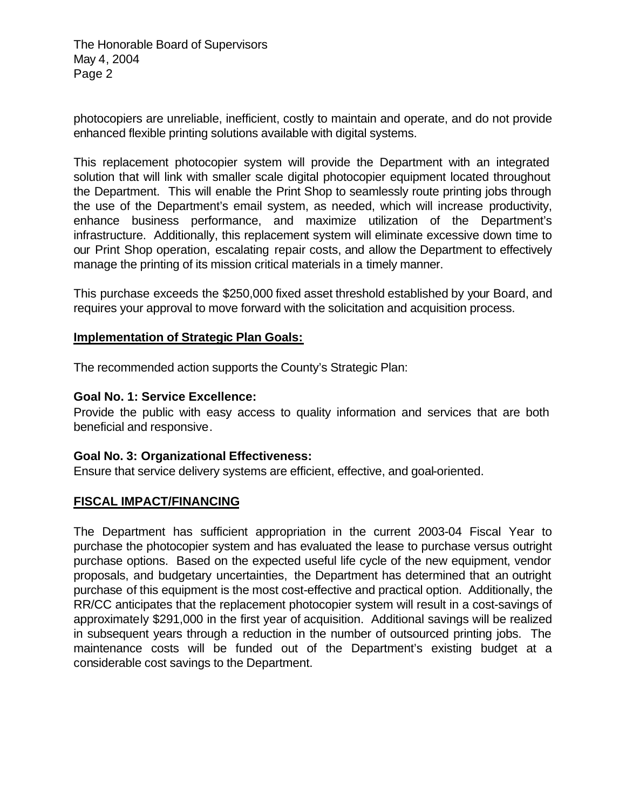The Honorable Board of Supervisors May 4, 2004 Page 2

photocopiers are unreliable, inefficient, costly to maintain and operate, and do not provide enhanced flexible printing solutions available with digital systems.

This replacement photocopier system will provide the Department with an integrated solution that will link with smaller scale digital photocopier equipment located throughout the Department. This will enable the Print Shop to seamlessly route printing jobs through the use of the Department's email system, as needed, which will increase productivity, enhance business performance, and maximize utilization of the Department's infrastructure. Additionally, this replacement system will eliminate excessive down time to our Print Shop operation, escalating repair costs, and allow the Department to effectively manage the printing of its mission critical materials in a timely manner.

This purchase exceeds the \$250,000 fixed asset threshold established by your Board, and requires your approval to move forward with the solicitation and acquisition process.

#### **Implementation of Strategic Plan Goals:**

The recommended action supports the County's Strategic Plan:

#### **Goal No. 1: Service Excellence:**

Provide the public with easy access to quality information and services that are both beneficial and responsive.

#### **Goal No. 3: Organizational Effectiveness:**

Ensure that service delivery systems are efficient, effective, and goal-oriented.

#### **FISCAL IMPACT/FINANCING**

The Department has sufficient appropriation in the current 2003-04 Fiscal Year to purchase the photocopier system and has evaluated the lease to purchase versus outright purchase options. Based on the expected useful life cycle of the new equipment, vendor proposals, and budgetary uncertainties, the Department has determined that an outright purchase of this equipment is the most cost-effective and practical option. Additionally, the RR/CC anticipates that the replacement photocopier system will result in a cost-savings of approximately \$291,000 in the first year of acquisition. Additional savings will be realized in subsequent years through a reduction in the number of outsourced printing jobs. The maintenance costs will be funded out of the Department's existing budget at a considerable cost savings to the Department.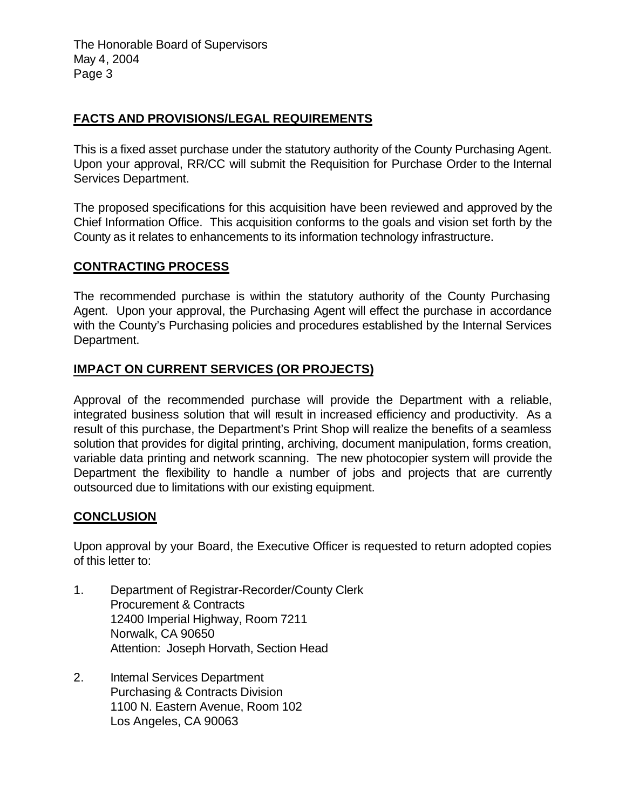The Honorable Board of Supervisors May 4, 2004 Page 3

### **FACTS AND PROVISIONS/LEGAL REQUIREMENTS**

This is a fixed asset purchase under the statutory authority of the County Purchasing Agent. Upon your approval, RR/CC will submit the Requisition for Purchase Order to the Internal Services Department.

The proposed specifications for this acquisition have been reviewed and approved by the Chief Information Office. This acquisition conforms to the goals and vision set forth by the County as it relates to enhancements to its information technology infrastructure.

### **CONTRACTING PROCESS**

The recommended purchase is within the statutory authority of the County Purchasing Agent. Upon your approval, the Purchasing Agent will effect the purchase in accordance with the County's Purchasing policies and procedures established by the Internal Services Department.

### **IMPACT ON CURRENT SERVICES (OR PROJECTS)**

Approval of the recommended purchase will provide the Department with a reliable, integrated business solution that will result in increased efficiency and productivity. As a result of this purchase, the Department's Print Shop will realize the benefits of a seamless solution that provides for digital printing, archiving, document manipulation, forms creation, variable data printing and network scanning. The new photocopier system will provide the Department the flexibility to handle a number of jobs and projects that are currently outsourced due to limitations with our existing equipment.

#### **CONCLUSION**

Upon approval by your Board, the Executive Officer is requested to return adopted copies of this letter to:

- 1. Department of Registrar-Recorder/County Clerk Procurement & Contracts 12400 Imperial Highway, Room 7211 Norwalk, CA 90650 Attention: Joseph Horvath, Section Head
- 2. Internal Services Department Purchasing & Contracts Division 1100 N. Eastern Avenue, Room 102 Los Angeles, CA 90063